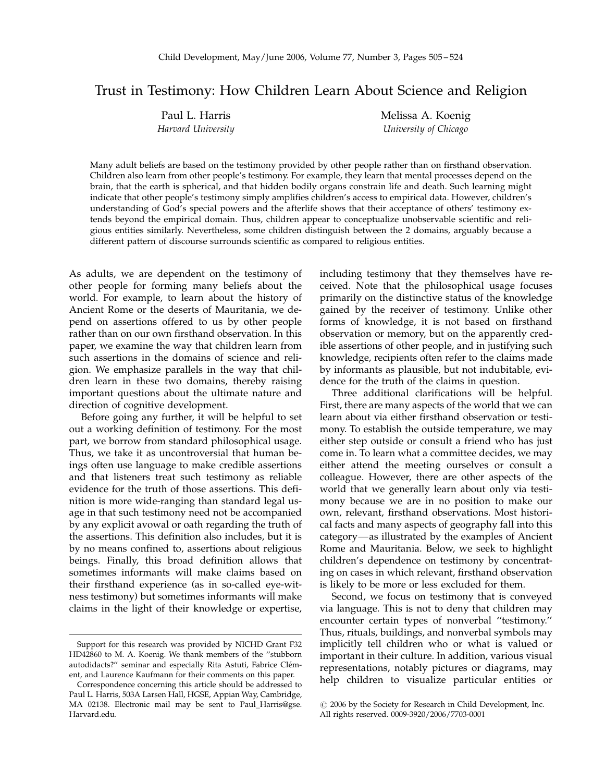# Trust in Testimony: How Children Learn About Science and Religion

Paul L. Harris Harvard University Melissa A. Koenig University of Chicago

Many adult beliefs are based on the testimony provided by other people rather than on firsthand observation. Children also learn from other people's testimony. For example, they learn that mental processes depend on the brain, that the earth is spherical, and that hidden bodily organs constrain life and death. Such learning might indicate that other people's testimony simply amplifies children's access to empirical data. However, children's understanding of God's special powers and the afterlife shows that their acceptance of others' testimony extends beyond the empirical domain. Thus, children appear to conceptualize unobservable scientific and religious entities similarly. Nevertheless, some children distinguish between the 2 domains, arguably because a different pattern of discourse surrounds scientific as compared to religious entities.

As adults, we are dependent on the testimony of other people for forming many beliefs about the world. For example, to learn about the history of Ancient Rome or the deserts of Mauritania, we depend on assertions offered to us by other people rather than on our own firsthand observation. In this paper, we examine the way that children learn from such assertions in the domains of science and religion. We emphasize parallels in the way that children learn in these two domains, thereby raising important questions about the ultimate nature and direction of cognitive development.

Before going any further, it will be helpful to set out a working definition of testimony. For the most part, we borrow from standard philosophical usage. Thus, we take it as uncontroversial that human beings often use language to make credible assertions and that listeners treat such testimony as reliable evidence for the truth of those assertions. This definition is more wide-ranging than standard legal usage in that such testimony need not be accompanied by any explicit avowal or oath regarding the truth of the assertions. This definition also includes, but it is by no means confined to, assertions about religious beings. Finally, this broad definition allows that sometimes informants will make claims based on their firsthand experience (as in so-called eye-witness testimony) but sometimes informants will make claims in the light of their knowledge or expertise,

including testimony that they themselves have received. Note that the philosophical usage focuses primarily on the distinctive status of the knowledge gained by the receiver of testimony. Unlike other forms of knowledge, it is not based on firsthand observation or memory, but on the apparently credible assertions of other people, and in justifying such knowledge, recipients often refer to the claims made by informants as plausible, but not indubitable, evidence for the truth of the claims in question.

Three additional clarifications will be helpful. First, there are many aspects of the world that we can learn about via either firsthand observation or testimony. To establish the outside temperature, we may either step outside or consult a friend who has just come in. To learn what a committee decides, we may either attend the meeting ourselves or consult a colleague. However, there are other aspects of the world that we generally learn about only via testimony because we are in no position to make our own, relevant, firsthand observations. Most historical facts and many aspects of geography fall into this  $category$ —as illustrated by the examples of Ancient Rome and Mauritania. Below, we seek to highlight children's dependence on testimony by concentrating on cases in which relevant, firsthand observation is likely to be more or less excluded for them.

Second, we focus on testimony that is conveyed via language. This is not to deny that children may encounter certain types of nonverbal ''testimony.'' Thus, rituals, buildings, and nonverbal symbols may implicitly tell children who or what is valued or important in their culture. In addition, various visual representations, notably pictures or diagrams, may help children to visualize particular entities or

Support for this research was provided by NICHD Grant F32 HD42860 to M. A. Koenig. We thank members of the ''stubborn autodidacts?" seminar and especially Rita Astuti, Fabrice Clément, and Laurence Kaufmann for their comments on this paper.

Correspondence concerning this article should be addressed to Paul L. Harris, 503A Larsen Hall, HGSE, Appian Way, Cambridge, MA 02138. Electronic mail may be sent to Paul\_Harris@gse. Harvard.edu.

 $O$  2006 by the Society for Research in Child Development, Inc. All rights reserved. 0009-3920/2006/7703-0001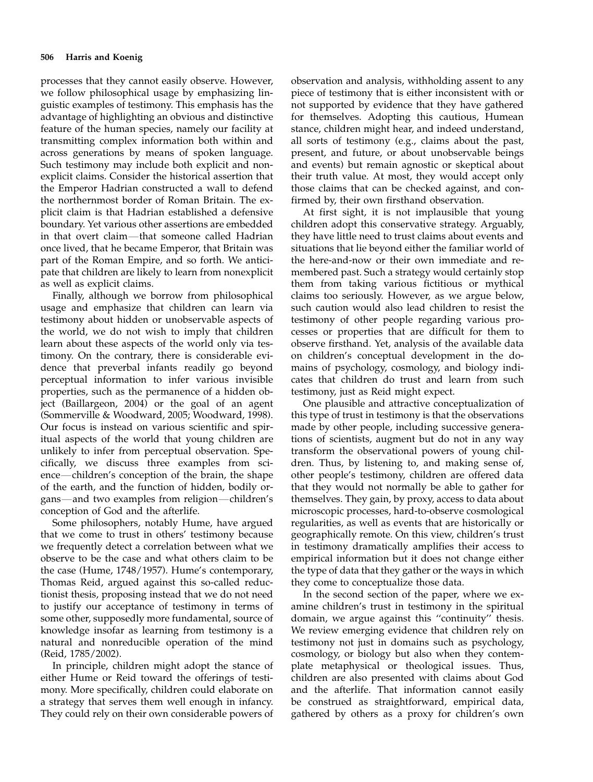processes that they cannot easily observe. However, we follow philosophical usage by emphasizing linguistic examples of testimony. This emphasis has the advantage of highlighting an obvious and distinctive feature of the human species, namely our facility at transmitting complex information both within and across generations by means of spoken language. Such testimony may include both explicit and nonexplicit claims. Consider the historical assertion that the Emperor Hadrian constructed a wall to defend the northernmost border of Roman Britain. The explicit claim is that Hadrian established a defensive boundary. Yet various other assertions are embedded in that overt claim—that someone called Hadrian once lived, that he became Emperor, that Britain was part of the Roman Empire, and so forth. We anticipate that children are likely to learn from nonexplicit as well as explicit claims.

Finally, although we borrow from philosophical usage and emphasize that children can learn via testimony about hidden or unobservable aspects of the world, we do not wish to imply that children learn about these aspects of the world only via testimony. On the contrary, there is considerable evidence that preverbal infants readily go beyond perceptual information to infer various invisible properties, such as the permanence of a hidden object (Baillargeon, 2004) or the goal of an agent (Sommerville & Woodward, 2005; Woodward, 1998). Our focus is instead on various scientific and spiritual aspects of the world that young children are unlikely to infer from perceptual observation. Specifically, we discuss three examples from science—children's conception of the brain, the shape of the earth, and the function of hidden, bodily organs—and two examples from religion—children's conception of God and the afterlife.

Some philosophers, notably Hume, have argued that we come to trust in others' testimony because we frequently detect a correlation between what we observe to be the case and what others claim to be the case (Hume, 1748/1957). Hume's contemporary, Thomas Reid, argued against this so-called reductionist thesis, proposing instead that we do not need to justify our acceptance of testimony in terms of some other, supposedly more fundamental, source of knowledge insofar as learning from testimony is a natural and nonreducible operation of the mind (Reid, 1785/2002).

In principle, children might adopt the stance of either Hume or Reid toward the offerings of testimony. More specifically, children could elaborate on a strategy that serves them well enough in infancy. They could rely on their own considerable powers of observation and analysis, withholding assent to any piece of testimony that is either inconsistent with or not supported by evidence that they have gathered for themselves. Adopting this cautious, Humean stance, children might hear, and indeed understand, all sorts of testimony (e.g., claims about the past, present, and future, or about unobservable beings and events) but remain agnostic or skeptical about their truth value. At most, they would accept only those claims that can be checked against, and confirmed by, their own firsthand observation.

At first sight, it is not implausible that young children adopt this conservative strategy. Arguably, they have little need to trust claims about events and situations that lie beyond either the familiar world of the here-and-now or their own immediate and remembered past. Such a strategy would certainly stop them from taking various fictitious or mythical claims too seriously. However, as we argue below, such caution would also lead children to resist the testimony of other people regarding various processes or properties that are difficult for them to observe firsthand. Yet, analysis of the available data on children's conceptual development in the domains of psychology, cosmology, and biology indicates that children do trust and learn from such testimony, just as Reid might expect.

One plausible and attractive conceptualization of this type of trust in testimony is that the observations made by other people, including successive generations of scientists, augment but do not in any way transform the observational powers of young children. Thus, by listening to, and making sense of, other people's testimony, children are offered data that they would not normally be able to gather for themselves. They gain, by proxy, access to data about microscopic processes, hard-to-observe cosmological regularities, as well as events that are historically or geographically remote. On this view, children's trust in testimony dramatically amplifies their access to empirical information but it does not change either the type of data that they gather or the ways in which they come to conceptualize those data.

In the second section of the paper, where we examine children's trust in testimony in the spiritual domain, we argue against this ''continuity'' thesis. We review emerging evidence that children rely on testimony not just in domains such as psychology, cosmology, or biology but also when they contemplate metaphysical or theological issues. Thus, children are also presented with claims about God and the afterlife. That information cannot easily be construed as straightforward, empirical data, gathered by others as a proxy for children's own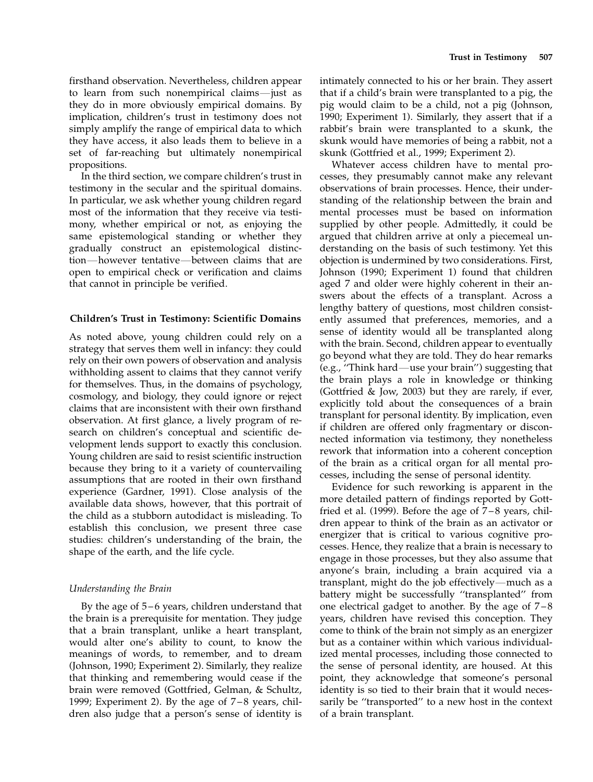firsthand observation. Nevertheless, children appear to learn from such nonempirical claims-just as they do in more obviously empirical domains. By implication, children's trust in testimony does not simply amplify the range of empirical data to which they have access, it also leads them to believe in a set of far-reaching but ultimately nonempirical propositions.

In the third section, we compare children's trust in testimony in the secular and the spiritual domains. In particular, we ask whether young children regard most of the information that they receive via testimony, whether empirical or not, as enjoying the same epistemological standing or whether they gradually construct an epistemological distinction-however tentative-between claims that are open to empirical check or verification and claims that cannot in principle be verified.

#### Children's Trust in Testimony: Scientific Domains

As noted above, young children could rely on a strategy that serves them well in infancy: they could rely on their own powers of observation and analysis withholding assent to claims that they cannot verify for themselves. Thus, in the domains of psychology, cosmology, and biology, they could ignore or reject claims that are inconsistent with their own firsthand observation. At first glance, a lively program of research on children's conceptual and scientific development lends support to exactly this conclusion. Young children are said to resist scientific instruction because they bring to it a variety of countervailing assumptions that are rooted in their own firsthand experience (Gardner, 1991). Close analysis of the available data shows, however, that this portrait of the child as a stubborn autodidact is misleading. To establish this conclusion, we present three case studies: children's understanding of the brain, the shape of the earth, and the life cycle.

#### Understanding the Brain

By the age of  $5-6$  years, children understand that the brain is a prerequisite for mentation. They judge that a brain transplant, unlike a heart transplant, would alter one's ability to count, to know the meanings of words, to remember, and to dream (Johnson, 1990; Experiment 2). Similarly, they realize that thinking and remembering would cease if the brain were removed (Gottfried, Gelman, & Schultz, 1999; Experiment 2). By the age of  $7-8$  years, children also judge that a person's sense of identity is intimately connected to his or her brain. They assert that if a child's brain were transplanted to a pig, the pig would claim to be a child, not a pig (Johnson, 1990; Experiment 1). Similarly, they assert that if a rabbit's brain were transplanted to a skunk, the skunk would have memories of being a rabbit, not a skunk (Gottfried et al., 1999; Experiment 2).

Whatever access children have to mental processes, they presumably cannot make any relevant observations of brain processes. Hence, their understanding of the relationship between the brain and mental processes must be based on information supplied by other people. Admittedly, it could be argued that children arrive at only a piecemeal understanding on the basis of such testimony. Yet this objection is undermined by two considerations. First, Johnson (1990; Experiment 1) found that children aged 7 and older were highly coherent in their answers about the effects of a transplant. Across a lengthy battery of questions, most children consistently assumed that preferences, memories, and a sense of identity would all be transplanted along with the brain. Second, children appear to eventually go beyond what they are told. They do hear remarks (e.g., "Think hard—use your brain") suggesting that the brain plays a role in knowledge or thinking (Gottfried & Jow, 2003) but they are rarely, if ever, explicitly told about the consequences of a brain transplant for personal identity. By implication, even if children are offered only fragmentary or disconnected information via testimony, they nonetheless rework that information into a coherent conception of the brain as a critical organ for all mental processes, including the sense of personal identity.

Evidence for such reworking is apparent in the more detailed pattern of findings reported by Gottfried et al. (1999). Before the age of 7-8 years, children appear to think of the brain as an activator or energizer that is critical to various cognitive processes. Hence, they realize that a brain is necessary to engage in those processes, but they also assume that anyone's brain, including a brain acquired via a transplant, might do the job effectively—much as a battery might be successfully ''transplanted'' from one electrical gadget to another. By the age of  $7-8$ years, children have revised this conception. They come to think of the brain not simply as an energizer but as a container within which various individualized mental processes, including those connected to the sense of personal identity, are housed. At this point, they acknowledge that someone's personal identity is so tied to their brain that it would necessarily be ''transported'' to a new host in the context of a brain transplant.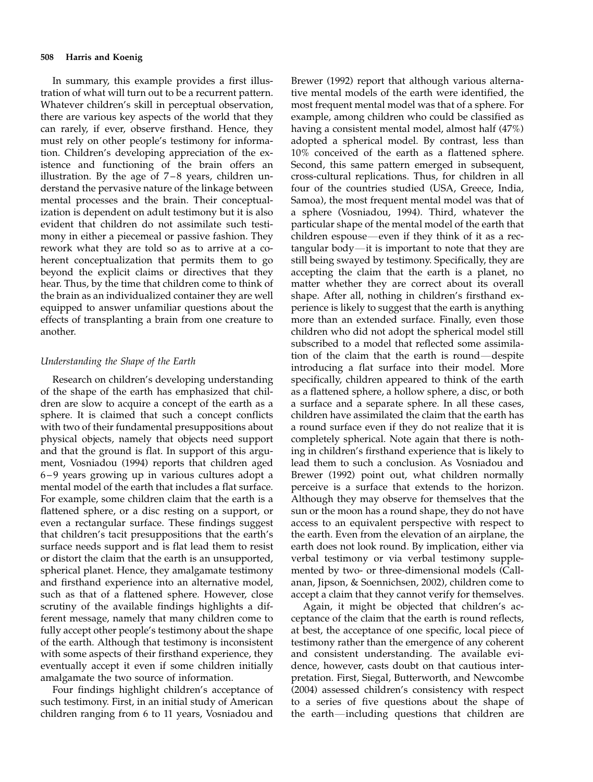In summary, this example provides a first illustration of what will turn out to be a recurrent pattern. Whatever children's skill in perceptual observation, there are various key aspects of the world that they can rarely, if ever, observe firsthand. Hence, they must rely on other people's testimony for information. Children's developing appreciation of the existence and functioning of the brain offers an illustration. By the age of  $7-8$  years, children understand the pervasive nature of the linkage between mental processes and the brain. Their conceptualization is dependent on adult testimony but it is also evident that children do not assimilate such testimony in either a piecemeal or passive fashion. They rework what they are told so as to arrive at a coherent conceptualization that permits them to go beyond the explicit claims or directives that they hear. Thus, by the time that children come to think of the brain as an individualized container they are well equipped to answer unfamiliar questions about the effects of transplanting a brain from one creature to another.

### Understanding the Shape of the Earth

Research on children's developing understanding of the shape of the earth has emphasized that children are slow to acquire a concept of the earth as a sphere. It is claimed that such a concept conflicts with two of their fundamental presuppositions about physical objects, namely that objects need support and that the ground is flat. In support of this argument, Vosniadou (1994) reports that children aged 6 – 9 years growing up in various cultures adopt a mental model of the earth that includes a flat surface. For example, some children claim that the earth is a flattened sphere, or a disc resting on a support, or even a rectangular surface. These findings suggest that children's tacit presuppositions that the earth's surface needs support and is flat lead them to resist or distort the claim that the earth is an unsupported, spherical planet. Hence, they amalgamate testimony and firsthand experience into an alternative model, such as that of a flattened sphere. However, close scrutiny of the available findings highlights a different message, namely that many children come to fully accept other people's testimony about the shape of the earth. Although that testimony is inconsistent with some aspects of their firsthand experience, they eventually accept it even if some children initially amalgamate the two source of information.

Four findings highlight children's acceptance of such testimony. First, in an initial study of American children ranging from 6 to 11 years, Vosniadou and Brewer (1992) report that although various alternative mental models of the earth were identified, the most frequent mental model was that of a sphere. For example, among children who could be classified as having a consistent mental model, almost half (47%) adopted a spherical model. By contrast, less than 10% conceived of the earth as a flattened sphere. Second, this same pattern emerged in subsequent, cross-cultural replications. Thus, for children in all four of the countries studied (USA, Greece, India, Samoa), the most frequent mental model was that of a sphere (Vosniadou, 1994). Third, whatever the particular shape of the mental model of the earth that children espouse—even if they think of it as a rectangular body—it is important to note that they are still being swayed by testimony. Specifically, they are accepting the claim that the earth is a planet, no matter whether they are correct about its overall shape. After all, nothing in children's firsthand experience is likely to suggest that the earth is anything more than an extended surface. Finally, even those children who did not adopt the spherical model still subscribed to a model that reflected some assimilation of the claim that the earth is round-despite introducing a flat surface into their model. More specifically, children appeared to think of the earth as a flattened sphere, a hollow sphere, a disc, or both a surface and a separate sphere. In all these cases, children have assimilated the claim that the earth has a round surface even if they do not realize that it is completely spherical. Note again that there is nothing in children's firsthand experience that is likely to lead them to such a conclusion. As Vosniadou and Brewer (1992) point out, what children normally perceive is a surface that extends to the horizon. Although they may observe for themselves that the sun or the moon has a round shape, they do not have access to an equivalent perspective with respect to the earth. Even from the elevation of an airplane, the earth does not look round. By implication, either via verbal testimony or via verbal testimony supplemented by two- or three-dimensional models (Callanan, Jipson, & Soennichsen, 2002), children come to accept a claim that they cannot verify for themselves.

Again, it might be objected that children's acceptance of the claim that the earth is round reflects, at best, the acceptance of one specific, local piece of testimony rather than the emergence of any coherent and consistent understanding. The available evidence, however, casts doubt on that cautious interpretation. First, Siegal, Butterworth, and Newcombe (2004) assessed children's consistency with respect to a series of five questions about the shape of the earth—including questions that children are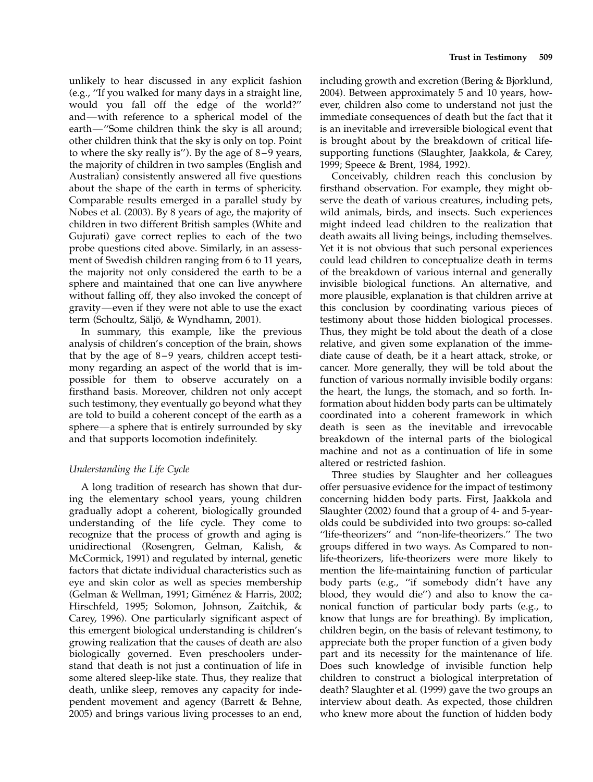unlikely to hear discussed in any explicit fashion (e.g., ''If you walked for many days in a straight line, would you fall off the edge of the world?'' and—with reference to a spherical model of the earth—"Some children think the sky is all around; other children think that the sky is only on top. Point to where the sky really is"). By the age of  $8-9$  years, the majority of children in two samples (English and Australian) consistently answered all five questions about the shape of the earth in terms of sphericity. Comparable results emerged in a parallel study by Nobes et al. (2003). By 8 years of age, the majority of children in two different British samples (White and Gujurati) gave correct replies to each of the two probe questions cited above. Similarly, in an assessment of Swedish children ranging from 6 to 11 years, the majority not only considered the earth to be a sphere and maintained that one can live anywhere without falling off, they also invoked the concept of  $gravity$ —even if they were not able to use the exact term (Schoultz, Säljö, & Wyndhamn, 2001).

In summary, this example, like the previous analysis of children's conception of the brain, shows that by the age of  $8-9$  years, children accept testimony regarding an aspect of the world that is impossible for them to observe accurately on a firsthand basis. Moreover, children not only accept such testimony, they eventually go beyond what they are told to build a coherent concept of the earth as a sphere $-$ a sphere that is entirely surrounded by sky and that supports locomotion indefinitely.

# Understanding the Life Cycle

A long tradition of research has shown that during the elementary school years, young children gradually adopt a coherent, biologically grounded understanding of the life cycle. They come to recognize that the process of growth and aging is unidirectional (Rosengren, Gelman, Kalish, & McCormick, 1991) and regulated by internal, genetic factors that dictate individual characteristics such as eye and skin color as well as species membership (Gelman & Wellman, 1991; Giménez & Harris, 2002; Hirschfeld, 1995; Solomon, Johnson, Zaitchik, & Carey, 1996). One particularly significant aspect of this emergent biological understanding is children's growing realization that the causes of death are also biologically governed. Even preschoolers understand that death is not just a continuation of life in some altered sleep-like state. Thus, they realize that death, unlike sleep, removes any capacity for independent movement and agency (Barrett & Behne, 2005) and brings various living processes to an end,

including growth and excretion (Bering & Bjorklund, 2004). Between approximately 5 and 10 years, however, children also come to understand not just the immediate consequences of death but the fact that it is an inevitable and irreversible biological event that is brought about by the breakdown of critical lifesupporting functions (Slaughter, Jaakkola, & Carey, 1999; Speece & Brent, 1984, 1992).

Conceivably, children reach this conclusion by firsthand observation. For example, they might observe the death of various creatures, including pets, wild animals, birds, and insects. Such experiences might indeed lead children to the realization that death awaits all living beings, including themselves. Yet it is not obvious that such personal experiences could lead children to conceptualize death in terms of the breakdown of various internal and generally invisible biological functions. An alternative, and more plausible, explanation is that children arrive at this conclusion by coordinating various pieces of testimony about those hidden biological processes. Thus, they might be told about the death of a close relative, and given some explanation of the immediate cause of death, be it a heart attack, stroke, or cancer. More generally, they will be told about the function of various normally invisible bodily organs: the heart, the lungs, the stomach, and so forth. Information about hidden body parts can be ultimately coordinated into a coherent framework in which death is seen as the inevitable and irrevocable breakdown of the internal parts of the biological machine and not as a continuation of life in some altered or restricted fashion.

Three studies by Slaughter and her colleagues offer persuasive evidence for the impact of testimony concerning hidden body parts. First, Jaakkola and Slaughter (2002) found that a group of 4- and 5-yearolds could be subdivided into two groups: so-called ''life-theorizers'' and ''non-life-theorizers.'' The two groups differed in two ways. As Compared to nonlife-theorizers, life-theorizers were more likely to mention the life-maintaining function of particular body parts (e.g., ''if somebody didn't have any blood, they would die'') and also to know the canonical function of particular body parts (e.g., to know that lungs are for breathing). By implication, children begin, on the basis of relevant testimony, to appreciate both the proper function of a given body part and its necessity for the maintenance of life. Does such knowledge of invisible function help children to construct a biological interpretation of death? Slaughter et al. (1999) gave the two groups an interview about death. As expected, those children who knew more about the function of hidden body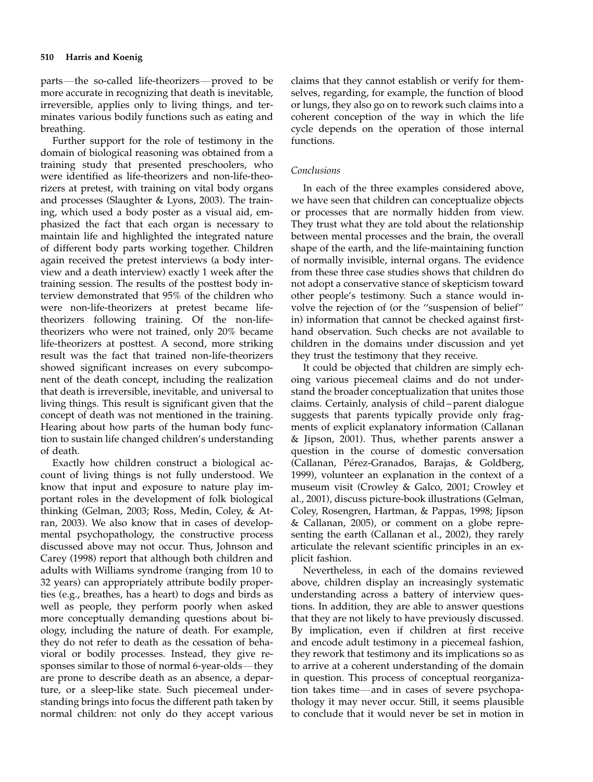parts—the so-called life-theorizers—proved to be more accurate in recognizing that death is inevitable, irreversible, applies only to living things, and terminates various bodily functions such as eating and breathing.

Further support for the role of testimony in the domain of biological reasoning was obtained from a training study that presented preschoolers, who were identified as life-theorizers and non-life-theorizers at pretest, with training on vital body organs and processes (Slaughter & Lyons, 2003). The training, which used a body poster as a visual aid, emphasized the fact that each organ is necessary to maintain life and highlighted the integrated nature of different body parts working together. Children again received the pretest interviews (a body interview and a death interview) exactly 1 week after the training session. The results of the posttest body interview demonstrated that 95% of the children who were non-life-theorizers at pretest became lifetheorizers following training. Of the non-lifetheorizers who were not trained, only 20% became life-theorizers at posttest. A second, more striking result was the fact that trained non-life-theorizers showed significant increases on every subcomponent of the death concept, including the realization that death is irreversible, inevitable, and universal to living things. This result is significant given that the concept of death was not mentioned in the training. Hearing about how parts of the human body function to sustain life changed children's understanding of death.

Exactly how children construct a biological account of living things is not fully understood. We know that input and exposure to nature play important roles in the development of folk biological thinking (Gelman, 2003; Ross, Medin, Coley, & Atran, 2003). We also know that in cases of developmental psychopathology, the constructive process discussed above may not occur. Thus, Johnson and Carey (1998) report that although both children and adults with Williams syndrome (ranging from 10 to 32 years) can appropriately attribute bodily properties (e.g., breathes, has a heart) to dogs and birds as well as people, they perform poorly when asked more conceptually demanding questions about biology, including the nature of death. For example, they do not refer to death as the cessation of behavioral or bodily processes. Instead, they give responses similar to those of normal 6-year-olds—they are prone to describe death as an absence, a departure, or a sleep-like state. Such piecemeal understanding brings into focus the different path taken by normal children: not only do they accept various claims that they cannot establish or verify for themselves, regarding, for example, the function of blood or lungs, they also go on to rework such claims into a coherent conception of the way in which the life cycle depends on the operation of those internal functions.

# Conclusions

In each of the three examples considered above, we have seen that children can conceptualize objects or processes that are normally hidden from view. They trust what they are told about the relationship between mental processes and the brain, the overall shape of the earth, and the life-maintaining function of normally invisible, internal organs. The evidence from these three case studies shows that children do not adopt a conservative stance of skepticism toward other people's testimony. Such a stance would involve the rejection of (or the ''suspension of belief'' in) information that cannot be checked against firsthand observation. Such checks are not available to children in the domains under discussion and yet they trust the testimony that they receive.

It could be objected that children are simply echoing various piecemeal claims and do not understand the broader conceptualization that unites those claims. Certainly, analysis of child – parent dialogue suggests that parents typically provide only fragments of explicit explanatory information (Callanan & Jipson, 2001). Thus, whether parents answer a question in the course of domestic conversation (Callanan, Pérez-Granados, Barajas, & Goldberg, 1999), volunteer an explanation in the context of a museum visit (Crowley & Galco, 2001; Crowley et al., 2001), discuss picture-book illustrations (Gelman, Coley, Rosengren, Hartman, & Pappas, 1998; Jipson & Callanan, 2005), or comment on a globe representing the earth (Callanan et al., 2002), they rarely articulate the relevant scientific principles in an explicit fashion.

Nevertheless, in each of the domains reviewed above, children display an increasingly systematic understanding across a battery of interview questions. In addition, they are able to answer questions that they are not likely to have previously discussed. By implication, even if children at first receive and encode adult testimony in a piecemeal fashion, they rework that testimony and its implications so as to arrive at a coherent understanding of the domain in question. This process of conceptual reorganization takes time—and in cases of severe psychopathology it may never occur. Still, it seems plausible to conclude that it would never be set in motion in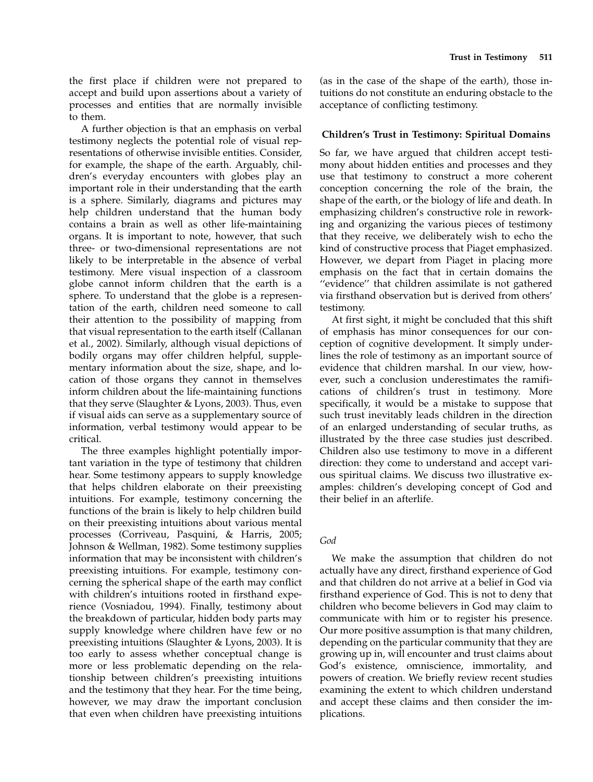the first place if children were not prepared to accept and build upon assertions about a variety of processes and entities that are normally invisible to them.

A further objection is that an emphasis on verbal testimony neglects the potential role of visual representations of otherwise invisible entities. Consider, for example, the shape of the earth. Arguably, children's everyday encounters with globes play an important role in their understanding that the earth is a sphere. Similarly, diagrams and pictures may help children understand that the human body contains a brain as well as other life-maintaining organs. It is important to note, however, that such three- or two-dimensional representations are not likely to be interpretable in the absence of verbal testimony. Mere visual inspection of a classroom globe cannot inform children that the earth is a sphere. To understand that the globe is a representation of the earth, children need someone to call their attention to the possibility of mapping from that visual representation to the earth itself (Callanan et al., 2002). Similarly, although visual depictions of bodily organs may offer children helpful, supplementary information about the size, shape, and location of those organs they cannot in themselves inform children about the life-maintaining functions that they serve (Slaughter & Lyons, 2003). Thus, even if visual aids can serve as a supplementary source of information, verbal testimony would appear to be critical.

The three examples highlight potentially important variation in the type of testimony that children hear. Some testimony appears to supply knowledge that helps children elaborate on their preexisting intuitions. For example, testimony concerning the functions of the brain is likely to help children build on their preexisting intuitions about various mental processes (Corriveau, Pasquini, & Harris, 2005; Johnson & Wellman, 1982). Some testimony supplies information that may be inconsistent with children's preexisting intuitions. For example, testimony concerning the spherical shape of the earth may conflict with children's intuitions rooted in firsthand experience (Vosniadou, 1994). Finally, testimony about the breakdown of particular, hidden body parts may supply knowledge where children have few or no preexisting intuitions (Slaughter & Lyons, 2003). It is too early to assess whether conceptual change is more or less problematic depending on the relationship between children's preexisting intuitions and the testimony that they hear. For the time being, however, we may draw the important conclusion that even when children have preexisting intuitions (as in the case of the shape of the earth), those intuitions do not constitute an enduring obstacle to the acceptance of conflicting testimony.

## Children's Trust in Testimony: Spiritual Domains

So far, we have argued that children accept testimony about hidden entities and processes and they use that testimony to construct a more coherent conception concerning the role of the brain, the shape of the earth, or the biology of life and death. In emphasizing children's constructive role in reworking and organizing the various pieces of testimony that they receive, we deliberately wish to echo the kind of constructive process that Piaget emphasized. However, we depart from Piaget in placing more emphasis on the fact that in certain domains the "evidence" that children assimilate is not gathered via firsthand observation but is derived from others' testimony.

At first sight, it might be concluded that this shift of emphasis has minor consequences for our conception of cognitive development. It simply underlines the role of testimony as an important source of evidence that children marshal. In our view, however, such a conclusion underestimates the ramifications of children's trust in testimony. More specifically, it would be a mistake to suppose that such trust inevitably leads children in the direction of an enlarged understanding of secular truths, as illustrated by the three case studies just described. Children also use testimony to move in a different direction: they come to understand and accept various spiritual claims. We discuss two illustrative examples: children's developing concept of God and their belief in an afterlife.

## God

We make the assumption that children do not actually have any direct, firsthand experience of God and that children do not arrive at a belief in God via firsthand experience of God. This is not to deny that children who become believers in God may claim to communicate with him or to register his presence. Our more positive assumption is that many children, depending on the particular community that they are growing up in, will encounter and trust claims about God's existence, omniscience, immortality, and powers of creation. We briefly review recent studies examining the extent to which children understand and accept these claims and then consider the implications.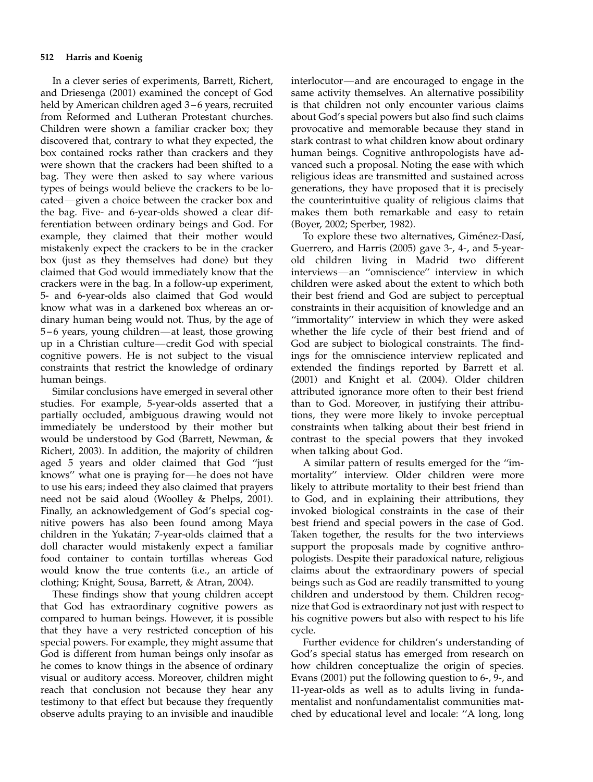In a clever series of experiments, Barrett, Richert, and Driesenga (2001) examined the concept of God held by American children aged 3-6 years, recruited from Reformed and Lutheran Protestant churches. Children were shown a familiar cracker box; they discovered that, contrary to what they expected, the box contained rocks rather than crackers and they were shown that the crackers had been shifted to a bag. They were then asked to say where various types of beings would believe the crackers to be located-given a choice between the cracker box and the bag. Five- and 6-year-olds showed a clear differentiation between ordinary beings and God. For example, they claimed that their mother would mistakenly expect the crackers to be in the cracker box (just as they themselves had done) but they claimed that God would immediately know that the crackers were in the bag. In a follow-up experiment, 5- and 6-year-olds also claimed that God would know what was in a darkened box whereas an ordinary human being would not. Thus, by the age of  $5-6$  years, young children—at least, those growing up in a Christian culture—credit God with special cognitive powers. He is not subject to the visual constraints that restrict the knowledge of ordinary human beings.

Similar conclusions have emerged in several other studies. For example, 5-year-olds asserted that a partially occluded, ambiguous drawing would not immediately be understood by their mother but would be understood by God (Barrett, Newman, & Richert, 2003). In addition, the majority of children aged 5 years and older claimed that God ''just knows" what one is praying for—he does not have to use his ears; indeed they also claimed that prayers need not be said aloud (Woolley & Phelps, 2001). Finally, an acknowledgement of God's special cognitive powers has also been found among Maya children in the Yukatán; 7-year-olds claimed that a doll character would mistakenly expect a familiar food container to contain tortillas whereas God would know the true contents (i.e., an article of clothing; Knight, Sousa, Barrett, & Atran, 2004).

These findings show that young children accept that God has extraordinary cognitive powers as compared to human beings. However, it is possible that they have a very restricted conception of his special powers. For example, they might assume that God is different from human beings only insofar as he comes to know things in the absence of ordinary visual or auditory access. Moreover, children might reach that conclusion not because they hear any testimony to that effect but because they frequently observe adults praying to an invisible and inaudible

 $interlocutor$ —and are encouraged to engage in the same activity themselves. An alternative possibility is that children not only encounter various claims about God's special powers but also find such claims provocative and memorable because they stand in stark contrast to what children know about ordinary human beings. Cognitive anthropologists have advanced such a proposal. Noting the ease with which religious ideas are transmitted and sustained across generations, they have proposed that it is precisely the counterintuitive quality of religious claims that makes them both remarkable and easy to retain (Boyer, 2002; Sperber, 1982).

To explore these two alternatives, Giménez-Dasí, Guerrero, and Harris (2005) gave 3-, 4-, and 5-yearold children living in Madrid two different interviews-an "omniscience" interview in which children were asked about the extent to which both their best friend and God are subject to perceptual constraints in their acquisition of knowledge and an ''immortality'' interview in which they were asked whether the life cycle of their best friend and of God are subject to biological constraints. The findings for the omniscience interview replicated and extended the findings reported by Barrett et al. (2001) and Knight et al. (2004). Older children attributed ignorance more often to their best friend than to God. Moreover, in justifying their attributions, they were more likely to invoke perceptual constraints when talking about their best friend in contrast to the special powers that they invoked when talking about God.

A similar pattern of results emerged for the ''immortality'' interview. Older children were more likely to attribute mortality to their best friend than to God, and in explaining their attributions, they invoked biological constraints in the case of their best friend and special powers in the case of God. Taken together, the results for the two interviews support the proposals made by cognitive anthropologists. Despite their paradoxical nature, religious claims about the extraordinary powers of special beings such as God are readily transmitted to young children and understood by them. Children recognize that God is extraordinary not just with respect to his cognitive powers but also with respect to his life cycle.

Further evidence for children's understanding of God's special status has emerged from research on how children conceptualize the origin of species. Evans (2001) put the following question to 6-, 9-, and 11-year-olds as well as to adults living in fundamentalist and nonfundamentalist communities matched by educational level and locale: ''A long, long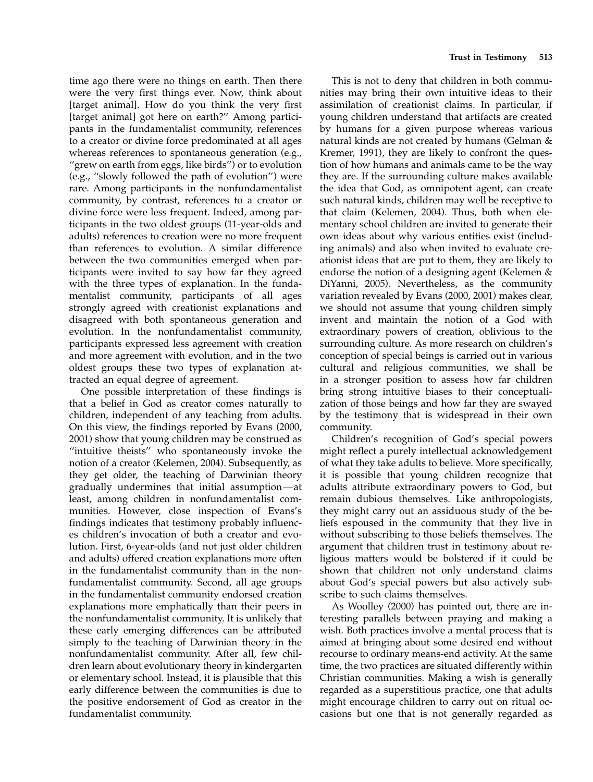time ago there were no things on earth. Then there were the very first things ever. Now, think about [target animal]. How do you think the very first [target animal] got here on earth?" Among participants in the fundamentalist community, references to a creator or divine force predominated at all ages whereas references to spontaneous generation (e.g., "grew on earth from eggs, like birds") or to evolution (e.g., ''slowly followed the path of evolution'') were rare. Among participants in the nonfundamentalist community, by contrast, references to a creator or divine force were less frequent. Indeed, among participants in the two oldest groups (11-year-olds and adults) references to creation were no more frequent than references to evolution. A similar difference between the two communities emerged when participants were invited to say how far they agreed with the three types of explanation. In the fundamentalist community, participants of all ages strongly agreed with creationist explanations and disagreed with both spontaneous generation and evolution. In the nonfundamentalist community, participants expressed less agreement with creation and more agreement with evolution, and in the two oldest groups these two types of explanation attracted an equal degree of agreement.

One possible interpretation of these findings is that a belief in God as creator comes naturally to children, independent of any teaching from adults. On this view, the findings reported by Evans (2000, 2001) show that young children may be construed as ''intuitive theists'' who spontaneously invoke the notion of a creator (Kelemen, 2004). Subsequently, as they get older, the teaching of Darwinian theory gradually undermines that initial assumption—at least, among children in nonfundamentalist communities. However, close inspection of Evans's findings indicates that testimony probably influences children's invocation of both a creator and evolution. First, 6-year-olds (and not just older children and adults) offered creation explanations more often in the fundamentalist community than in the nonfundamentalist community. Second, all age groups in the fundamentalist community endorsed creation explanations more emphatically than their peers in the nonfundamentalist community. It is unlikely that these early emerging differences can be attributed simply to the teaching of Darwinian theory in the nonfundamentalist community. After all, few children learn about evolutionary theory in kindergarten or elementary school. Instead, it is plausible that this early difference between the communities is due to the positive endorsement of God as creator in the fundamentalist community.

This is not to deny that children in both communities may bring their own intuitive ideas to their assimilation of creationist claims. In particular, if young children understand that artifacts are created by humans for a given purpose whereas various natural kinds are not created by humans (Gelman & Kremer, 1991), they are likely to confront the question of how humans and animals came to be the way they are. If the surrounding culture makes available the idea that God, as omnipotent agent, can create such natural kinds, children may well be receptive to that claim (Kelemen, 2004). Thus, both when elementary school children are invited to generate their own ideas about why various entities exist (including animals) and also when invited to evaluate creationist ideas that are put to them, they are likely to endorse the notion of a designing agent (Kelemen & DiYanni, 2005). Nevertheless, as the community variation revealed by Evans (2000, 2001) makes clear, we should not assume that young children simply invent and maintain the notion of a God with extraordinary powers of creation, oblivious to the surrounding culture. As more research on children's conception of special beings is carried out in various cultural and religious communities, we shall be in a stronger position to assess how far children bring strong intuitive biases to their conceptualization of those beings and how far they are swayed by the testimony that is widespread in their own community.

Children's recognition of God's special powers might reflect a purely intellectual acknowledgement of what they take adults to believe. More specifically, it is possible that young children recognize that adults attribute extraordinary powers to God, but remain dubious themselves. Like anthropologists, they might carry out an assiduous study of the beliefs espoused in the community that they live in without subscribing to those beliefs themselves. The argument that children trust in testimony about religious matters would be bolstered if it could be shown that children not only understand claims about God's special powers but also actively subscribe to such claims themselves.

As Woolley (2000) has pointed out, there are interesting parallels between praying and making a wish. Both practices involve a mental process that is aimed at bringing about some desired end without recourse to ordinary means-end activity. At the same time, the two practices are situated differently within Christian communities. Making a wish is generally regarded as a superstitious practice, one that adults might encourage children to carry out on ritual occasions but one that is not generally regarded as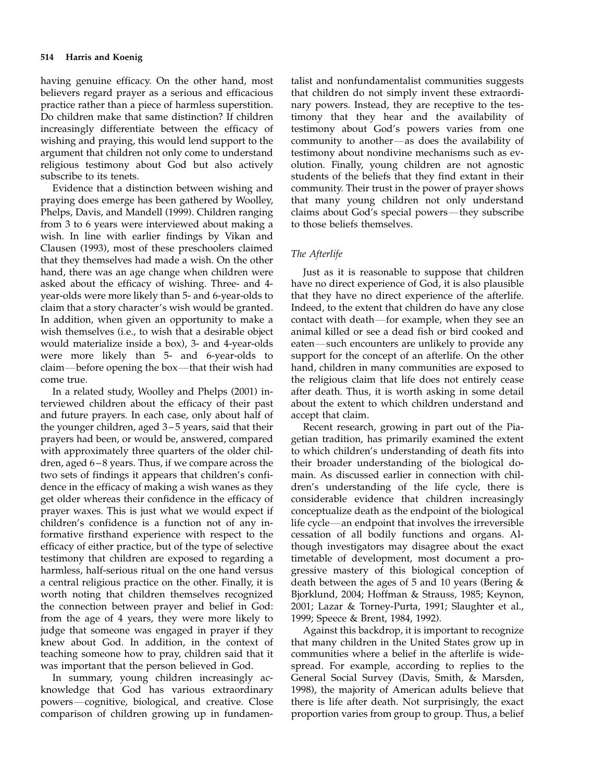having genuine efficacy. On the other hand, most believers regard prayer as a serious and efficacious practice rather than a piece of harmless superstition. Do children make that same distinction? If children increasingly differentiate between the efficacy of wishing and praying, this would lend support to the argument that children not only come to understand religious testimony about God but also actively subscribe to its tenets.

Evidence that a distinction between wishing and praying does emerge has been gathered by Woolley, Phelps, Davis, and Mandell (1999). Children ranging from 3 to 6 years were interviewed about making a wish. In line with earlier findings by Vikan and Clausen (1993), most of these preschoolers claimed that they themselves had made a wish. On the other hand, there was an age change when children were asked about the efficacy of wishing. Three- and 4 year-olds were more likely than 5- and 6-year-olds to claim that a story character's wish would be granted. In addition, when given an opportunity to make a wish themselves (i.e., to wish that a desirable object would materialize inside a box), 3- and 4-year-olds were more likely than 5- and 6-year-olds to claim—before opening the box—that their wish had come true.

In a related study, Woolley and Phelps (2001) interviewed children about the efficacy of their past and future prayers. In each case, only about half of the younger children, aged 3 – 5 years, said that their prayers had been, or would be, answered, compared with approximately three quarters of the older children, aged  $6-8$  years. Thus, if we compare across the two sets of findings it appears that children's confidence in the efficacy of making a wish wanes as they get older whereas their confidence in the efficacy of prayer waxes. This is just what we would expect if children's confidence is a function not of any informative firsthand experience with respect to the efficacy of either practice, but of the type of selective testimony that children are exposed to regarding a harmless, half-serious ritual on the one hand versus a central religious practice on the other. Finally, it is worth noting that children themselves recognized the connection between prayer and belief in God: from the age of 4 years, they were more likely to judge that someone was engaged in prayer if they knew about God. In addition, in the context of teaching someone how to pray, children said that it was important that the person believed in God.

In summary, young children increasingly acknowledge that God has various extraordinary powers—cognitive, biological, and creative. Close comparison of children growing up in fundamentalist and nonfundamentalist communities suggests that children do not simply invent these extraordinary powers. Instead, they are receptive to the testimony that they hear and the availability of testimony about God's powers varies from one community to another-as does the availability of testimony about nondivine mechanisms such as evolution. Finally, young children are not agnostic students of the beliefs that they find extant in their community. Their trust in the power of prayer shows that many young children not only understand claims about God's special powers—they subscribe to those beliefs themselves.

# The Afterlife

Just as it is reasonable to suppose that children have no direct experience of God, it is also plausible that they have no direct experience of the afterlife. Indeed, to the extent that children do have any close contact with death—for example, when they see an animal killed or see a dead fish or bird cooked and eaten—such encounters are unlikely to provide any support for the concept of an afterlife. On the other hand, children in many communities are exposed to the religious claim that life does not entirely cease after death. Thus, it is worth asking in some detail about the extent to which children understand and accept that claim.

Recent research, growing in part out of the Piagetian tradition, has primarily examined the extent to which children's understanding of death fits into their broader understanding of the biological domain. As discussed earlier in connection with children's understanding of the life cycle, there is considerable evidence that children increasingly conceptualize death as the endpoint of the biological life cycle $-$ an endpoint that involves the irreversible cessation of all bodily functions and organs. Although investigators may disagree about the exact timetable of development, most document a progressive mastery of this biological conception of death between the ages of 5 and 10 years (Bering & Bjorklund, 2004; Hoffman & Strauss, 1985; Keynon, 2001; Lazar & Torney-Purta, 1991; Slaughter et al., 1999; Speece & Brent, 1984, 1992).

Against this backdrop, it is important to recognize that many children in the United States grow up in communities where a belief in the afterlife is widespread. For example, according to replies to the General Social Survey (Davis, Smith, & Marsden, 1998), the majority of American adults believe that there is life after death. Not surprisingly, the exact proportion varies from group to group. Thus, a belief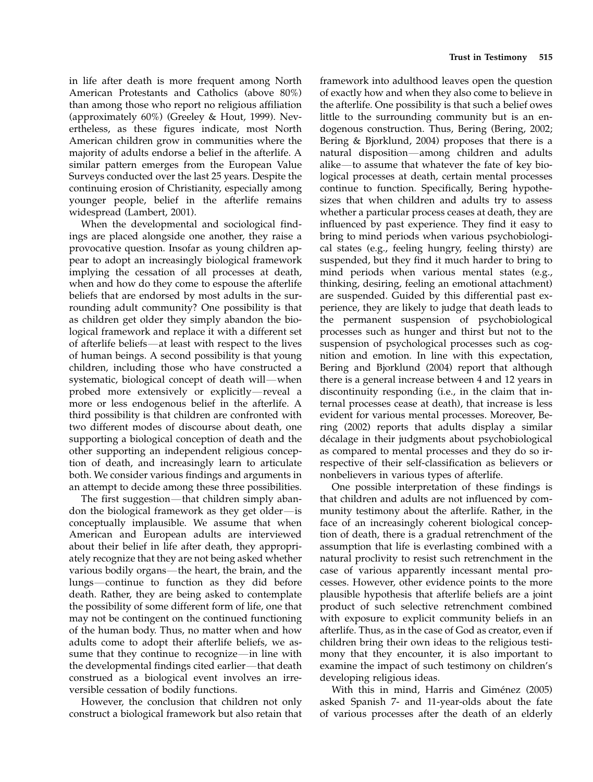in life after death is more frequent among North American Protestants and Catholics (above 80%) than among those who report no religious affiliation (approximately 60%) (Greeley & Hout, 1999). Nevertheless, as these figures indicate, most North American children grow in communities where the majority of adults endorse a belief in the afterlife. A similar pattern emerges from the European Value Surveys conducted over the last 25 years. Despite the continuing erosion of Christianity, especially among younger people, belief in the afterlife remains widespread (Lambert, 2001).

When the developmental and sociological findings are placed alongside one another, they raise a provocative question. Insofar as young children appear to adopt an increasingly biological framework implying the cessation of all processes at death, when and how do they come to espouse the afterlife beliefs that are endorsed by most adults in the surrounding adult community? One possibility is that as children get older they simply abandon the biological framework and replace it with a different set of afterlife beliefs—at least with respect to the lives of human beings. A second possibility is that young children, including those who have constructed a systematic, biological concept of death will-when probed more extensively or explicitly-reveal a more or less endogenous belief in the afterlife. A third possibility is that children are confronted with two different modes of discourse about death, one supporting a biological conception of death and the other supporting an independent religious conception of death, and increasingly learn to articulate both. We consider various findings and arguments in an attempt to decide among these three possibilities.

The first suggestion—that children simply abandon the biological framework as they get older-is conceptually implausible. We assume that when American and European adults are interviewed about their belief in life after death, they appropriately recognize that they are not being asked whether various bodily organs—the heart, the brain, and the lungs—continue to function as they did before death. Rather, they are being asked to contemplate the possibility of some different form of life, one that may not be contingent on the continued functioning of the human body. Thus, no matter when and how adults come to adopt their afterlife beliefs, we assume that they continue to recognize—in line with the developmental findings cited earlier—that death construed as a biological event involves an irreversible cessation of bodily functions.

However, the conclusion that children not only construct a biological framework but also retain that

framework into adulthood leaves open the question of exactly how and when they also come to believe in the afterlife. One possibility is that such a belief owes little to the surrounding community but is an endogenous construction. Thus, Bering (Bering, 2002; Bering & Bjorklund, 2004) proposes that there is a natural disposition—among children and adults alike-to assume that whatever the fate of key biological processes at death, certain mental processes continue to function. Specifically, Bering hypothesizes that when children and adults try to assess whether a particular process ceases at death, they are influenced by past experience. They find it easy to bring to mind periods when various psychobiological states (e.g., feeling hungry, feeling thirsty) are suspended, but they find it much harder to bring to mind periods when various mental states (e.g., thinking, desiring, feeling an emotional attachment) are suspended. Guided by this differential past experience, they are likely to judge that death leads to the permanent suspension of psychobiological processes such as hunger and thirst but not to the suspension of psychological processes such as cognition and emotion. In line with this expectation, Bering and Bjorklund (2004) report that although there is a general increase between 4 and 12 years in discontinuity responding (i.e., in the claim that internal processes cease at death), that increase is less evident for various mental processes. Moreover, Bering (2002) reports that adults display a similar décalage in their judgments about psychobiological as compared to mental processes and they do so irrespective of their self-classification as believers or nonbelievers in various types of afterlife.

One possible interpretation of these findings is that children and adults are not influenced by community testimony about the afterlife. Rather, in the face of an increasingly coherent biological conception of death, there is a gradual retrenchment of the assumption that life is everlasting combined with a natural proclivity to resist such retrenchment in the case of various apparently incessant mental processes. However, other evidence points to the more plausible hypothesis that afterlife beliefs are a joint product of such selective retrenchment combined with exposure to explicit community beliefs in an afterlife. Thus, as in the case of God as creator, even if children bring their own ideas to the religious testimony that they encounter, it is also important to examine the impact of such testimony on children's developing religious ideas.

With this in mind, Harris and Giménez (2005) asked Spanish 7- and 11-year-olds about the fate of various processes after the death of an elderly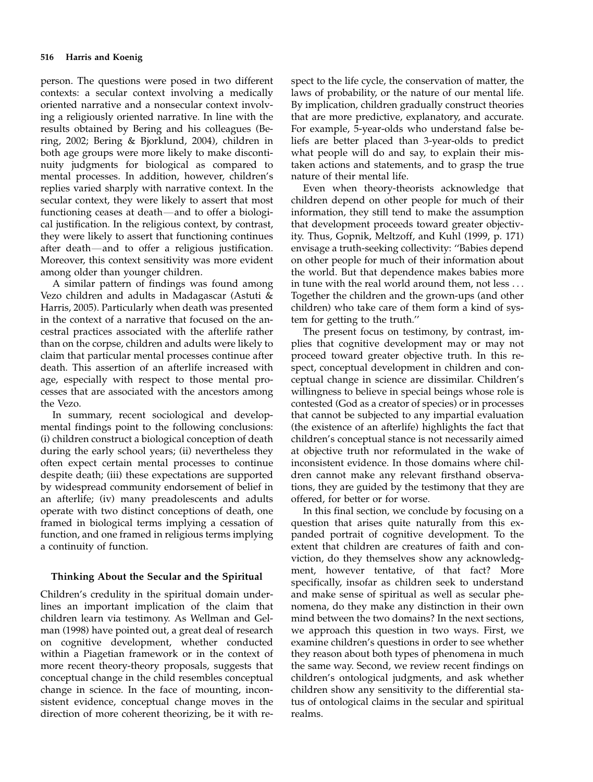person. The questions were posed in two different contexts: a secular context involving a medically oriented narrative and a nonsecular context involving a religiously oriented narrative. In line with the results obtained by Bering and his colleagues (Bering, 2002; Bering & Bjorklund, 2004), children in both age groups were more likely to make discontinuity judgments for biological as compared to mental processes. In addition, however, children's replies varied sharply with narrative context. In the secular context, they were likely to assert that most functioning ceases at death—and to offer a biological justification. In the religious context, by contrast, they were likely to assert that functioning continues after death—and to offer a religious justification. Moreover, this context sensitivity was more evident among older than younger children.

A similar pattern of findings was found among Vezo children and adults in Madagascar (Astuti & Harris, 2005). Particularly when death was presented in the context of a narrative that focused on the ancestral practices associated with the afterlife rather than on the corpse, children and adults were likely to claim that particular mental processes continue after death. This assertion of an afterlife increased with age, especially with respect to those mental processes that are associated with the ancestors among the Vezo.

In summary, recent sociological and developmental findings point to the following conclusions: (i) children construct a biological conception of death during the early school years; (ii) nevertheless they often expect certain mental processes to continue despite death; (iii) these expectations are supported by widespread community endorsement of belief in an afterlife; (iv) many preadolescents and adults operate with two distinct conceptions of death, one framed in biological terms implying a cessation of function, and one framed in religious terms implying a continuity of function.

## Thinking About the Secular and the Spiritual

Children's credulity in the spiritual domain underlines an important implication of the claim that children learn via testimony. As Wellman and Gelman (1998) have pointed out, a great deal of research on cognitive development, whether conducted within a Piagetian framework or in the context of more recent theory-theory proposals, suggests that conceptual change in the child resembles conceptual change in science. In the face of mounting, inconsistent evidence, conceptual change moves in the direction of more coherent theorizing, be it with respect to the life cycle, the conservation of matter, the laws of probability, or the nature of our mental life. By implication, children gradually construct theories that are more predictive, explanatory, and accurate. For example, 5-year-olds who understand false beliefs are better placed than 3-year-olds to predict what people will do and say, to explain their mistaken actions and statements, and to grasp the true nature of their mental life.

Even when theory-theorists acknowledge that children depend on other people for much of their information, they still tend to make the assumption that development proceeds toward greater objectivity. Thus, Gopnik, Meltzoff, and Kuhl (1999, p. 171) envisage a truth-seeking collectivity: ''Babies depend on other people for much of their information about the world. But that dependence makes babies more in tune with the real world around them, not less . . . Together the children and the grown-ups (and other children) who take care of them form a kind of system for getting to the truth.''

The present focus on testimony, by contrast, implies that cognitive development may or may not proceed toward greater objective truth. In this respect, conceptual development in children and conceptual change in science are dissimilar. Children's willingness to believe in special beings whose role is contested (God as a creator of species) or in processes that cannot be subjected to any impartial evaluation (the existence of an afterlife) highlights the fact that children's conceptual stance is not necessarily aimed at objective truth nor reformulated in the wake of inconsistent evidence. In those domains where children cannot make any relevant firsthand observations, they are guided by the testimony that they are offered, for better or for worse.

In this final section, we conclude by focusing on a question that arises quite naturally from this expanded portrait of cognitive development. To the extent that children are creatures of faith and conviction, do they themselves show any acknowledgment, however tentative, of that fact? More specifically, insofar as children seek to understand and make sense of spiritual as well as secular phenomena, do they make any distinction in their own mind between the two domains? In the next sections, we approach this question in two ways. First, we examine children's questions in order to see whether they reason about both types of phenomena in much the same way. Second, we review recent findings on children's ontological judgments, and ask whether children show any sensitivity to the differential status of ontological claims in the secular and spiritual realms.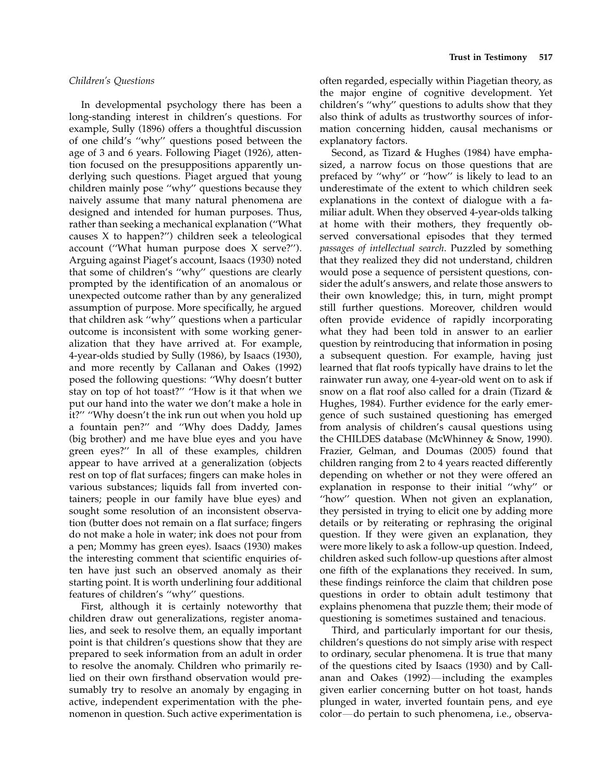### Children's Questions

In developmental psychology there has been a long-standing interest in children's questions. For example, Sully (1896) offers a thoughtful discussion of one child's ''why'' questions posed between the age of 3 and 6 years. Following Piaget (1926), attention focused on the presuppositions apparently underlying such questions. Piaget argued that young children mainly pose ''why'' questions because they naively assume that many natural phenomena are designed and intended for human purposes. Thus, rather than seeking a mechanical explanation (''What causes X to happen?'') children seek a teleological account (''What human purpose does X serve?''). Arguing against Piaget's account, Isaacs (1930) noted that some of children's ''why'' questions are clearly prompted by the identification of an anomalous or unexpected outcome rather than by any generalized assumption of purpose. More specifically, he argued that children ask ''why'' questions when a particular outcome is inconsistent with some working generalization that they have arrived at. For example, 4-year-olds studied by Sully (1986), by Isaacs (1930), and more recently by Callanan and Oakes (1992) posed the following questions: ''Why doesn't butter stay on top of hot toast?'' ''How is it that when we put our hand into the water we don't make a hole in it?'' ''Why doesn't the ink run out when you hold up a fountain pen?'' and ''Why does Daddy, James (big brother) and me have blue eyes and you have green eyes?'' In all of these examples, children appear to have arrived at a generalization (objects rest on top of flat surfaces; fingers can make holes in various substances; liquids fall from inverted containers; people in our family have blue eyes) and sought some resolution of an inconsistent observation (butter does not remain on a flat surface; fingers do not make a hole in water; ink does not pour from a pen; Mommy has green eyes). Isaacs (1930) makes the interesting comment that scientific enquiries often have just such an observed anomaly as their starting point. It is worth underlining four additional features of children's ''why'' questions.

First, although it is certainly noteworthy that children draw out generalizations, register anomalies, and seek to resolve them, an equally important point is that children's questions show that they are prepared to seek information from an adult in order to resolve the anomaly. Children who primarily relied on their own firsthand observation would presumably try to resolve an anomaly by engaging in active, independent experimentation with the phenomenon in question. Such active experimentation is

often regarded, especially within Piagetian theory, as the major engine of cognitive development. Yet children's ''why'' questions to adults show that they also think of adults as trustworthy sources of information concerning hidden, causal mechanisms or explanatory factors.

Second, as Tizard & Hughes (1984) have emphasized, a narrow focus on those questions that are prefaced by ''why'' or ''how'' is likely to lead to an underestimate of the extent to which children seek explanations in the context of dialogue with a familiar adult. When they observed 4-year-olds talking at home with their mothers, they frequently observed conversational episodes that they termed passages of intellectual search. Puzzled by something that they realized they did not understand, children would pose a sequence of persistent questions, consider the adult's answers, and relate those answers to their own knowledge; this, in turn, might prompt still further questions. Moreover, children would often provide evidence of rapidly incorporating what they had been told in answer to an earlier question by reintroducing that information in posing a subsequent question. For example, having just learned that flat roofs typically have drains to let the rainwater run away, one 4-year-old went on to ask if snow on a flat roof also called for a drain (Tizard & Hughes, 1984). Further evidence for the early emergence of such sustained questioning has emerged from analysis of children's causal questions using the CHILDES database (McWhinney & Snow, 1990). Frazier, Gelman, and Doumas (2005) found that children ranging from 2 to 4 years reacted differently depending on whether or not they were offered an explanation in response to their initial ''why'' or "how" question. When not given an explanation, they persisted in trying to elicit one by adding more details or by reiterating or rephrasing the original question. If they were given an explanation, they were more likely to ask a follow-up question. Indeed, children asked such follow-up questions after almost one fifth of the explanations they received. In sum, these findings reinforce the claim that children pose questions in order to obtain adult testimony that explains phenomena that puzzle them; their mode of questioning is sometimes sustained and tenacious.

Third, and particularly important for our thesis, children's questions do not simply arise with respect to ordinary, secular phenomena. It is true that many of the questions cited by Isaacs (1930) and by Callanan and Oakes  $(1992)$ —including the examples given earlier concerning butter on hot toast, hands plunged in water, inverted fountain pens, and eye color—do pertain to such phenomena, i.e., observa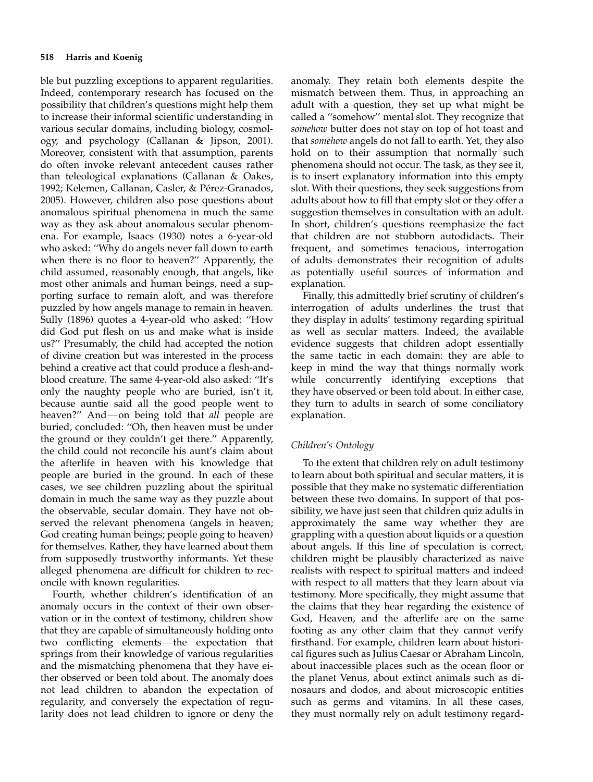ble but puzzling exceptions to apparent regularities. Indeed, contemporary research has focused on the possibility that children's questions might help them to increase their informal scientific understanding in various secular domains, including biology, cosmology, and psychology (Callanan & Jipson, 2001). Moreover, consistent with that assumption, parents do often invoke relevant antecedent causes rather than teleological explanations (Callanan & Oakes, 1992; Kelemen, Callanan, Casler, & Pérez-Granados, 2005). However, children also pose questions about anomalous spiritual phenomena in much the same way as they ask about anomalous secular phenomena. For example, Isaacs (1930) notes a 6-year-old who asked: ''Why do angels never fall down to earth when there is no floor to heaven?'' Apparently, the child assumed, reasonably enough, that angels, like most other animals and human beings, need a supporting surface to remain aloft, and was therefore puzzled by how angels manage to remain in heaven. Sully (1896) quotes a 4-year-old who asked: ''How did God put flesh on us and make what is inside us?'' Presumably, the child had accepted the notion of divine creation but was interested in the process behind a creative act that could produce a flesh-andblood creature. The same 4-year-old also asked: ''It's only the naughty people who are buried, isn't it, because auntie said all the good people went to heaven?" And-on being told that all people are buried, concluded: ''Oh, then heaven must be under the ground or they couldn't get there.'' Apparently, the child could not reconcile his aunt's claim about the afterlife in heaven with his knowledge that people are buried in the ground. In each of these cases, we see children puzzling about the spiritual domain in much the same way as they puzzle about the observable, secular domain. They have not observed the relevant phenomena (angels in heaven; God creating human beings; people going to heaven) for themselves. Rather, they have learned about them from supposedly trustworthy informants. Yet these alleged phenomena are difficult for children to reconcile with known regularities.

Fourth, whether children's identification of an anomaly occurs in the context of their own observation or in the context of testimony, children show that they are capable of simultaneously holding onto two conflicting elements—the expectation that springs from their knowledge of various regularities and the mismatching phenomena that they have either observed or been told about. The anomaly does not lead children to abandon the expectation of regularity, and conversely the expectation of regularity does not lead children to ignore or deny the anomaly. They retain both elements despite the mismatch between them. Thus, in approaching an adult with a question, they set up what might be called a ''somehow'' mental slot. They recognize that somehow butter does not stay on top of hot toast and that somehow angels do not fall to earth. Yet, they also hold on to their assumption that normally such phenomena should not occur. The task, as they see it, is to insert explanatory information into this empty slot. With their questions, they seek suggestions from adults about how to fill that empty slot or they offer a suggestion themselves in consultation with an adult. In short, children's questions reemphasize the fact that children are not stubborn autodidacts. Their frequent, and sometimes tenacious, interrogation of adults demonstrates their recognition of adults as potentially useful sources of information and explanation.

Finally, this admittedly brief scrutiny of children's interrogation of adults underlines the trust that they display in adults' testimony regarding spiritual as well as secular matters. Indeed, the available evidence suggests that children adopt essentially the same tactic in each domain: they are able to keep in mind the way that things normally work while concurrently identifying exceptions that they have observed or been told about. In either case, they turn to adults in search of some conciliatory explanation.

# Children's Ontology

To the extent that children rely on adult testimony to learn about both spiritual and secular matters, it is possible that they make no systematic differentiation between these two domains. In support of that possibility, we have just seen that children quiz adults in approximately the same way whether they are grappling with a question about liquids or a question about angels. If this line of speculation is correct, children might be plausibly characterized as naive realists with respect to spiritual matters and indeed with respect to all matters that they learn about via testimony. More specifically, they might assume that the claims that they hear regarding the existence of God, Heaven, and the afterlife are on the same footing as any other claim that they cannot verify firsthand. For example, children learn about historical figures such as Julius Caesar or Abraham Lincoln, about inaccessible places such as the ocean floor or the planet Venus, about extinct animals such as dinosaurs and dodos, and about microscopic entities such as germs and vitamins. In all these cases, they must normally rely on adult testimony regard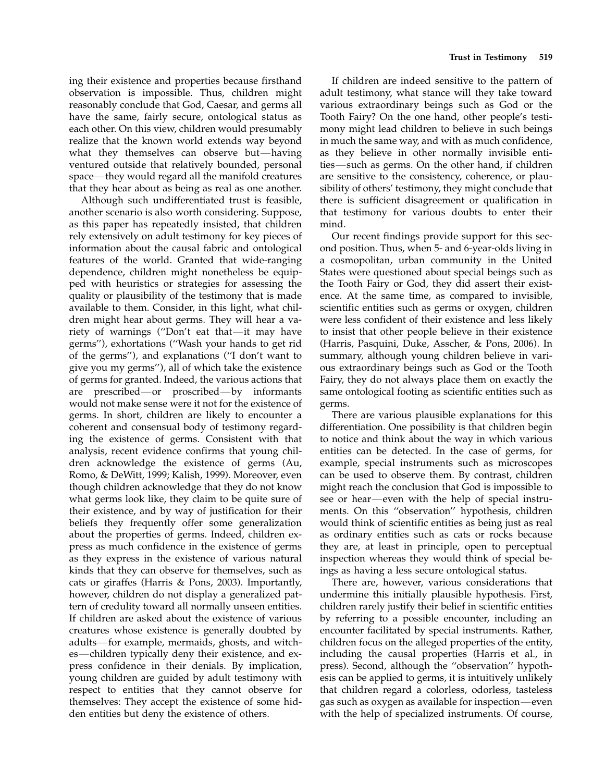ing their existence and properties because firsthand observation is impossible. Thus, children might reasonably conclude that God, Caesar, and germs all have the same, fairly secure, ontological status as each other. On this view, children would presumably realize that the known world extends way beyond what they themselves can observe but—having ventured outside that relatively bounded, personal space—they would regard all the manifold creatures that they hear about as being as real as one another.

Although such undifferentiated trust is feasible, another scenario is also worth considering. Suppose, as this paper has repeatedly insisted, that children rely extensively on adult testimony for key pieces of information about the causal fabric and ontological features of the world. Granted that wide-ranging dependence, children might nonetheless be equipped with heuristics or strategies for assessing the quality or plausibility of the testimony that is made available to them. Consider, in this light, what children might hear about germs. They will hear a variety of warnings ("Don't eat that-it may have germs''), exhortations (''Wash your hands to get rid of the germs''), and explanations (''I don't want to give you my germs''), all of which take the existence of germs for granted. Indeed, the various actions that are prescribed—or proscribed—by informants would not make sense were it not for the existence of germs. In short, children are likely to encounter a coherent and consensual body of testimony regarding the existence of germs. Consistent with that analysis, recent evidence confirms that young children acknowledge the existence of germs (Au, Romo, & DeWitt, 1999; Kalish, 1999). Moreover, even though children acknowledge that they do not know what germs look like, they claim to be quite sure of their existence, and by way of justification for their beliefs they frequently offer some generalization about the properties of germs. Indeed, children express as much confidence in the existence of germs as they express in the existence of various natural kinds that they can observe for themselves, such as cats or giraffes (Harris & Pons, 2003). Importantly, however, children do not display a generalized pattern of credulity toward all normally unseen entities. If children are asked about the existence of various creatures whose existence is generally doubted by adults—for example, mermaids, ghosts, and witches-children typically deny their existence, and express confidence in their denials. By implication, young children are guided by adult testimony with respect to entities that they cannot observe for themselves: They accept the existence of some hidden entities but deny the existence of others.

If children are indeed sensitive to the pattern of adult testimony, what stance will they take toward various extraordinary beings such as God or the Tooth Fairy? On the one hand, other people's testimony might lead children to believe in such beings in much the same way, and with as much confidence, as they believe in other normally invisible entities-such as germs. On the other hand, if children are sensitive to the consistency, coherence, or plausibility of others' testimony, they might conclude that there is sufficient disagreement or qualification in that testimony for various doubts to enter their mind.

Our recent findings provide support for this second position. Thus, when 5- and 6-year-olds living in a cosmopolitan, urban community in the United States were questioned about special beings such as the Tooth Fairy or God, they did assert their existence. At the same time, as compared to invisible, scientific entities such as germs or oxygen, children were less confident of their existence and less likely to insist that other people believe in their existence (Harris, Pasquini, Duke, Asscher, & Pons, 2006). In summary, although young children believe in various extraordinary beings such as God or the Tooth Fairy, they do not always place them on exactly the same ontological footing as scientific entities such as germs.

There are various plausible explanations for this differentiation. One possibility is that children begin to notice and think about the way in which various entities can be detected. In the case of germs, for example, special instruments such as microscopes can be used to observe them. By contrast, children might reach the conclusion that God is impossible to see or hear—even with the help of special instruments. On this ''observation'' hypothesis, children would think of scientific entities as being just as real as ordinary entities such as cats or rocks because they are, at least in principle, open to perceptual inspection whereas they would think of special beings as having a less secure ontological status.

There are, however, various considerations that undermine this initially plausible hypothesis. First, children rarely justify their belief in scientific entities by referring to a possible encounter, including an encounter facilitated by special instruments. Rather, children focus on the alleged properties of the entity, including the causal properties (Harris et al., in press). Second, although the ''observation'' hypothesis can be applied to germs, it is intuitively unlikely that children regard a colorless, odorless, tasteless gas such as oxygen as available for inspection—even with the help of specialized instruments. Of course,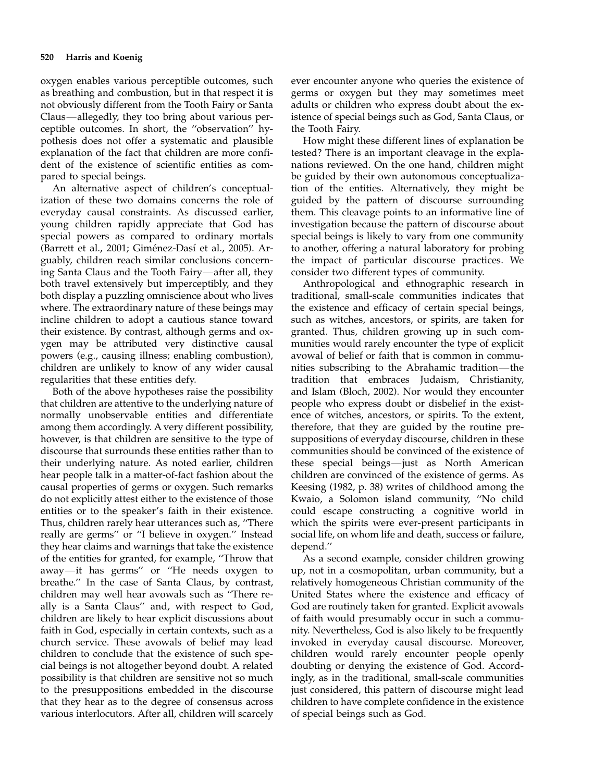oxygen enables various perceptible outcomes, such as breathing and combustion, but in that respect it is not obviously different from the Tooth Fairy or Santa Claus—allegedly, they too bring about various perceptible outcomes. In short, the ''observation'' hypothesis does not offer a systematic and plausible explanation of the fact that children are more confident of the existence of scientific entities as compared to special beings.

An alternative aspect of children's conceptualization of these two domains concerns the role of everyday causal constraints. As discussed earlier, young children rapidly appreciate that God has special powers as compared to ordinary mortals (Barrett et al., 2001; Giménez-Dasí et al., 2005). Arguably, children reach similar conclusions concerning Santa Claus and the Tooth Fairy- $a$ fter all, they both travel extensively but imperceptibly, and they both display a puzzling omniscience about who lives where. The extraordinary nature of these beings may incline children to adopt a cautious stance toward their existence. By contrast, although germs and oxygen may be attributed very distinctive causal powers (e.g., causing illness; enabling combustion), children are unlikely to know of any wider causal regularities that these entities defy.

Both of the above hypotheses raise the possibility that children are attentive to the underlying nature of normally unobservable entities and differentiate among them accordingly. A very different possibility, however, is that children are sensitive to the type of discourse that surrounds these entities rather than to their underlying nature. As noted earlier, children hear people talk in a matter-of-fact fashion about the causal properties of germs or oxygen. Such remarks do not explicitly attest either to the existence of those entities or to the speaker's faith in their existence. Thus, children rarely hear utterances such as, ''There really are germs'' or ''I believe in oxygen.'' Instead they hear claims and warnings that take the existence of the entities for granted, for example, ''Throw that away-it has germs" or "He needs oxygen to breathe.'' In the case of Santa Claus, by contrast, children may well hear avowals such as ''There really is a Santa Claus'' and, with respect to God, children are likely to hear explicit discussions about faith in God, especially in certain contexts, such as a church service. These avowals of belief may lead children to conclude that the existence of such special beings is not altogether beyond doubt. A related possibility is that children are sensitive not so much to the presuppositions embedded in the discourse that they hear as to the degree of consensus across various interlocutors. After all, children will scarcely

ever encounter anyone who queries the existence of germs or oxygen but they may sometimes meet adults or children who express doubt about the existence of special beings such as God, Santa Claus, or the Tooth Fairy.

How might these different lines of explanation be tested? There is an important cleavage in the explanations reviewed. On the one hand, children might be guided by their own autonomous conceptualization of the entities. Alternatively, they might be guided by the pattern of discourse surrounding them. This cleavage points to an informative line of investigation because the pattern of discourse about special beings is likely to vary from one community to another, offering a natural laboratory for probing the impact of particular discourse practices. We consider two different types of community.

Anthropological and ethnographic research in traditional, small-scale communities indicates that the existence and efficacy of certain special beings, such as witches, ancestors, or spirits, are taken for granted. Thus, children growing up in such communities would rarely encounter the type of explicit avowal of belief or faith that is common in communities subscribing to the Abrahamic tradition-the tradition that embraces Judaism, Christianity, and Islam (Bloch, 2002). Nor would they encounter people who express doubt or disbelief in the existence of witches, ancestors, or spirits. To the extent, therefore, that they are guided by the routine presuppositions of everyday discourse, children in these communities should be convinced of the existence of these special beings-just as North American children are convinced of the existence of germs. As Keesing (1982, p. 38) writes of childhood among the Kwaio, a Solomon island community, ''No child could escape constructing a cognitive world in which the spirits were ever-present participants in social life, on whom life and death, success or failure, depend.''

As a second example, consider children growing up, not in a cosmopolitan, urban community, but a relatively homogeneous Christian community of the United States where the existence and efficacy of God are routinely taken for granted. Explicit avowals of faith would presumably occur in such a community. Nevertheless, God is also likely to be frequently invoked in everyday causal discourse. Moreover, children would rarely encounter people openly doubting or denying the existence of God. Accordingly, as in the traditional, small-scale communities just considered, this pattern of discourse might lead children to have complete confidence in the existence of special beings such as God.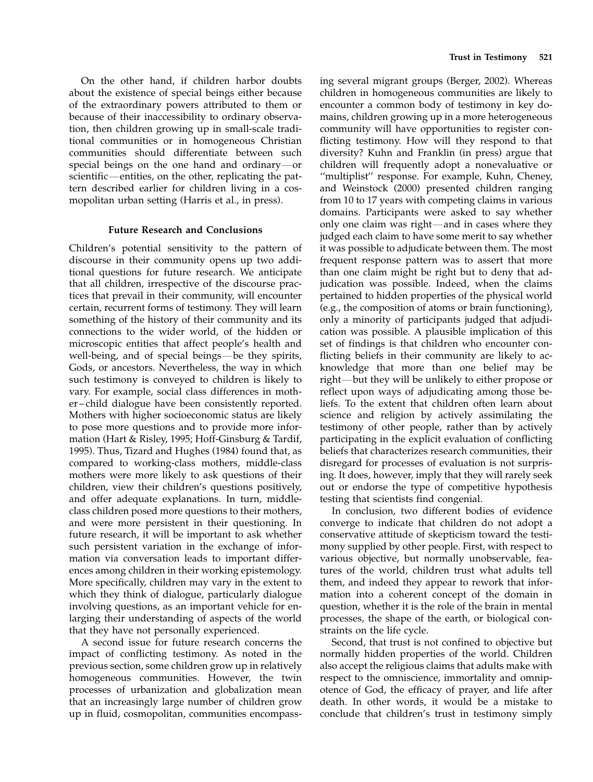On the other hand, if children harbor doubts about the existence of special beings either because of the extraordinary powers attributed to them or because of their inaccessibility to ordinary observation, then children growing up in small-scale traditional communities or in homogeneous Christian communities should differentiate between such special beings on the one hand and ordinary-or scientific—entities, on the other, replicating the pattern described earlier for children living in a cosmopolitan urban setting (Harris et al., in press).

### Future Research and Conclusions

Children's potential sensitivity to the pattern of discourse in their community opens up two additional questions for future research. We anticipate that all children, irrespective of the discourse practices that prevail in their community, will encounter certain, recurrent forms of testimony. They will learn something of the history of their community and its connections to the wider world, of the hidden or microscopic entities that affect people's health and well-being, and of special beings—be they spirits, Gods, or ancestors. Nevertheless, the way in which such testimony is conveyed to children is likely to vary. For example, social class differences in mother – child dialogue have been consistently reported. Mothers with higher socioeconomic status are likely to pose more questions and to provide more information (Hart & Risley, 1995; Hoff-Ginsburg & Tardif, 1995). Thus, Tizard and Hughes (1984) found that, as compared to working-class mothers, middle-class mothers were more likely to ask questions of their children, view their children's questions positively, and offer adequate explanations. In turn, middleclass children posed more questions to their mothers, and were more persistent in their questioning. In future research, it will be important to ask whether such persistent variation in the exchange of information via conversation leads to important differences among children in their working epistemology. More specifically, children may vary in the extent to which they think of dialogue, particularly dialogue involving questions, as an important vehicle for enlarging their understanding of aspects of the world that they have not personally experienced.

A second issue for future research concerns the impact of conflicting testimony. As noted in the previous section, some children grow up in relatively homogeneous communities. However, the twin processes of urbanization and globalization mean that an increasingly large number of children grow up in fluid, cosmopolitan, communities encompassing several migrant groups (Berger, 2002). Whereas children in homogeneous communities are likely to encounter a common body of testimony in key domains, children growing up in a more heterogeneous community will have opportunities to register conflicting testimony. How will they respond to that diversity? Kuhn and Franklin (in press) argue that children will frequently adopt a nonevaluative or "multiplist" response. For example, Kuhn, Cheney, and Weinstock (2000) presented children ranging from 10 to 17 years with competing claims in various domains. Participants were asked to say whether only one claim was right-and in cases where they judged each claim to have some merit to say whether it was possible to adjudicate between them. The most frequent response pattern was to assert that more than one claim might be right but to deny that adjudication was possible. Indeed, when the claims pertained to hidden properties of the physical world (e.g., the composition of atoms or brain functioning), only a minority of participants judged that adjudication was possible. A plausible implication of this set of findings is that children who encounter conflicting beliefs in their community are likely to acknowledge that more than one belief may be right—but they will be unlikely to either propose or reflect upon ways of adjudicating among those beliefs. To the extent that children often learn about science and religion by actively assimilating the testimony of other people, rather than by actively participating in the explicit evaluation of conflicting beliefs that characterizes research communities, their disregard for processes of evaluation is not surprising. It does, however, imply that they will rarely seek out or endorse the type of competitive hypothesis testing that scientists find congenial.

In conclusion, two different bodies of evidence converge to indicate that children do not adopt a conservative attitude of skepticism toward the testimony supplied by other people. First, with respect to various objective, but normally unobservable, features of the world, children trust what adults tell them, and indeed they appear to rework that information into a coherent concept of the domain in question, whether it is the role of the brain in mental processes, the shape of the earth, or biological constraints on the life cycle.

Second, that trust is not confined to objective but normally hidden properties of the world. Children also accept the religious claims that adults make with respect to the omniscience, immortality and omnipotence of God, the efficacy of prayer, and life after death. In other words, it would be a mistake to conclude that children's trust in testimony simply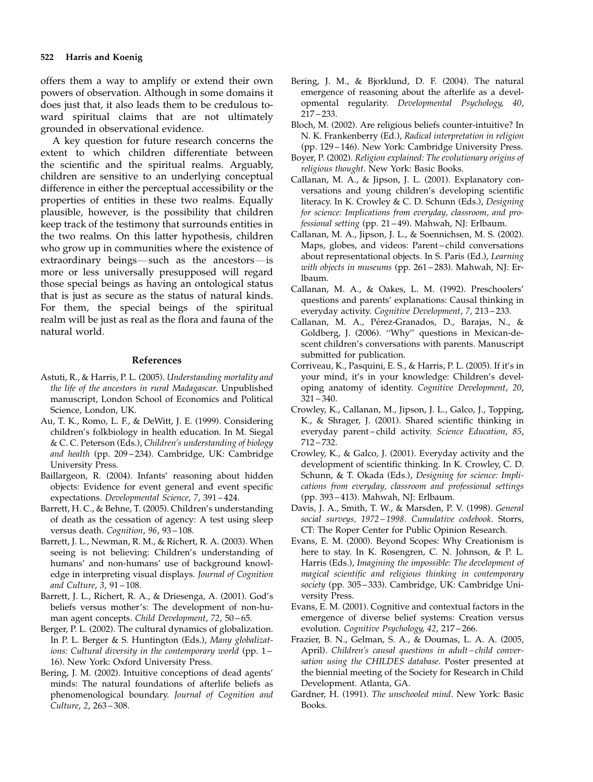offers them a way to amplify or extend their own powers of observation. Although in some domains it does just that, it also leads them to be credulous toward spiritual claims that are not ultimately grounded in observational evidence.

A key question for future research concerns the extent to which children differentiate between the scientific and the spiritual realms. Arguably, children are sensitive to an underlying conceptual difference in either the perceptual accessibility or the properties of entities in these two realms. Equally plausible, however, is the possibility that children keep track of the testimony that surrounds entities in the two realms. On this latter hypothesis, children who grow up in communities where the existence of extraordinary beings—such as the ancestors—is more or less universally presupposed will regard those special beings as having an ontological status that is just as secure as the status of natural kinds. For them, the special beings of the spiritual realm will be just as real as the flora and fauna of the natural world.

### References

- Astuti, R., & Harris, P. L. (2005). Understanding mortality and the life of the ancestors in rural Madagascar. Unpublished manuscript, London School of Economics and Political Science, London, UK.
- Au, T. K., Romo, L. F., & DeWitt, J. E. (1999). Considering children's folkbiology in health education. In M. Siegal & C. C. Peterson (Eds.), Children's understanding of biology and health (pp. 209 – 234). Cambridge, UK: Cambridge University Press.
- Baillargeon, R. (2004). Infants' reasoning about hidden objects: Evidence for event general and event specific expectations. Developmental Science, 7, 391 – 424.
- Barrett, H. C., & Behne, T. (2005). Children's understanding of death as the cessation of agency: A test using sleep versus death. Cognition, 96, 93 – 108.
- Barrett, J. L., Newman, R. M., & Richert, R. A. (2003). When seeing is not believing: Children's understanding of humans' and non-humans' use of background knowledge in interpreting visual displays. Journal of Cognition and Culture, 3, 91 – 108.
- Barrett, J. L., Richert, R. A., & Driesenga, A. (2001). God's beliefs versus mother's: The development of non-human agent concepts. Child Development, 72, 50-65.
- Berger, P. L. (2002). The cultural dynamics of globalization. In P. L. Berger & S. Huntington (Eds.), Many globalizations: Cultural diversity in the contemporary world (pp. 1 – 16). New York: Oxford University Press.
- Bering, J. M. (2002). Intuitive conceptions of dead agents' minds: The natural foundations of afterlife beliefs as phenomenological boundary. Journal of Cognition and Culture, 2, 263 – 308.
- Bering, J. M., & Bjorklund, D. F. (2004). The natural emergence of reasoning about the afterlife as a developmental regularity. Developmental Psychology, 40, 217 – 233.
- Bloch, M. (2002). Are religious beliefs counter-intuitive? In N. K. Frankenberry (Ed.), Radical interpretation in religion (pp. 129 – 146). New York: Cambridge University Press.
- Boyer, P. (2002). Religion explained: The evolutionary origins of religious thought. New York: Basic Books.
- Callanan, M. A., & Jipson, J. L. (2001). Explanatory conversations and young children's developing scientific literacy. In K. Crowley & C. D. Schunn (Eds.), Designing for science: Implications from everyday, classroom, and professional setting (pp. 21 – 49). Mahwah, NJ: Erlbaum.
- Callanan, M. A., Jipson, J. L., & Soennichsen, M. S. (2002). Maps, globes, and videos: Parent – child conversations about representational objects. In S. Paris (Ed.), Learning with objects in museums (pp. 261 – 283). Mahwah, NJ: Erlbaum.
- Callanan, M. A., & Oakes, L. M. (1992). Preschoolers' questions and parents' explanations: Causal thinking in everyday activity. Cognitive Development, 7, 213 – 233.
- Callanan, M. A., Pérez-Granados, D., Barajas, N., & Goldberg, J. (2006). ''Why'' questions in Mexican-descent children's conversations with parents. Manuscript submitted for publication.
- Corriveau, K., Pasquini, E. S., & Harris, P. L. (2005). If it's in your mind, it's in your knowledge: Children's developing anatomy of identity. Cognitive Development, 20,  $321 - 340.$
- Crowley, K., Callanan, M., Jipson, J. L., Galco, J., Topping, K., & Shrager, J. (2001). Shared scientific thinking in everyday parent – child activity. Science Education, 85, 712 – 732.
- Crowley, K., & Galco, J. (2001). Everyday activity and the development of scientific thinking. In K. Crowley, C. D. Schunn, & T. Okada (Eds.), Designing for science: Implications from everyday, classroom and professional settings (pp. 393 – 413). Mahwah, NJ: Erlbaum.
- Davis, J. A., Smith, T. W., & Marsden, P. V. (1998). General social surveys, 1972 – 1998. Cumulative codebook. Storrs, CT: The Roper Center for Public Opinion Research.
- Evans, E. M. (2000). Beyond Scopes: Why Creationism is here to stay. In K. Rosengren, C. N. Johnson, & P. L. Harris (Eds.), Imagining the impossible: The development of magical scientific and religious thinking in contemporary society (pp. 305 – 333). Cambridge, UK: Cambridge University Press.
- Evans, E. M. (2001). Cognitive and contextual factors in the emergence of diverse belief systems: Creation versus evolution. Cognitive Psychology, 42, 217 – 266.
- Frazier, B. N., Gelman, S. A., & Doumas, L. A. A. (2005, April). Children's causal questions in adult-child conversation using the CHILDES database. Poster presented at the biennial meeting of the Society for Research in Child Development. Atlanta, GA.
- Gardner, H. (1991). The unschooled mind. New York: Basic Books.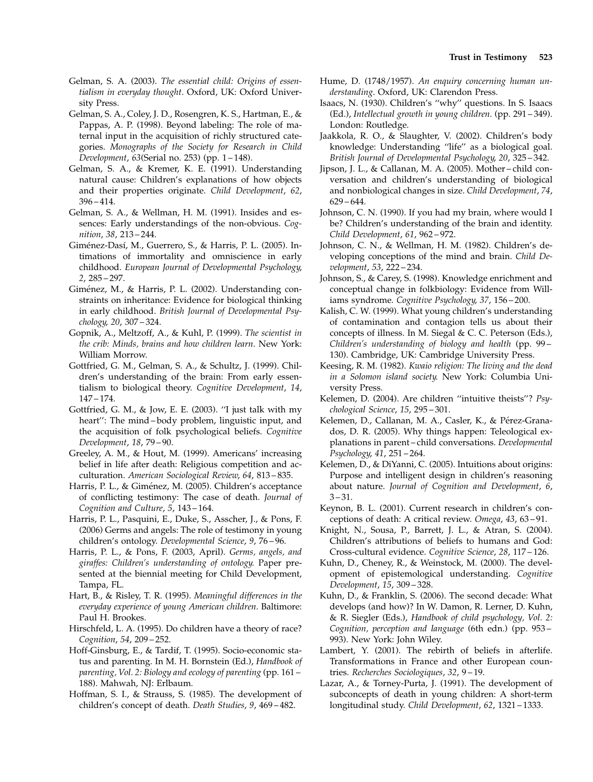- Gelman, S. A. (2003). The essential child: Origins of essentialism in everyday thought. Oxford, UK: Oxford University Press.
- Gelman, S. A., Coley, J. D., Rosengren, K. S., Hartman, E., & Pappas, A. P. (1998). Beyond labeling: The role of maternal input in the acquisition of richly structured categories. Monographs of the Society for Research in Child Development, 63(Serial no. 253) (pp. 1 – 148).
- Gelman, S. A., & Kremer, K. E. (1991). Understanding natural cause: Children's explanations of how objects and their properties originate. Child Development, 62, 396 – 414.
- Gelman, S. A., & Wellman, H. M. (1991). Insides and essences: Early understandings of the non-obvious. Cognition, 38, 213 – 244.
- Giménez-Dasí, M., Guerrero, S., & Harris, P. L. (2005). Intimations of immortality and omniscience in early childhood. European Journal of Developmental Psychology, 2, 285 – 297.
- Giménez, M., & Harris, P. L. (2002). Understanding constraints on inheritance: Evidence for biological thinking in early childhood. British Journal of Developmental Psychology, 20, 307 – 324.
- Gopnik, A., Meltzoff, A., & Kuhl, P. (1999). The scientist in the crib: Minds, brains and how children learn. New York: William Morrow.
- Gottfried, G. M., Gelman, S. A., & Schultz, J. (1999). Children's understanding of the brain: From early essentialism to biological theory. Cognitive Development, 14, 147 – 174.
- Gottfried, G. M., & Jow, E. E. (2003). ''I just talk with my heart'': The mind – body problem, linguistic input, and the acquisition of folk psychological beliefs. Cognitive Development, 18, 79 – 90.
- Greeley, A. M., & Hout, M. (1999). Americans' increasing belief in life after death: Religious competition and acculturation. American Sociological Review, 64, 813 – 835.
- Harris, P. L., & Giménez, M. (2005). Children's acceptance of conflicting testimony: The case of death. Journal of Cognition and Culture, 5, 143 – 164.
- Harris, P. L., Pasquini, E., Duke, S., Asscher, J., & Pons, F. (2006) Germs and angels: The role of testimony in young children's ontology. Developmental Science, 9, 76 – 96.
- Harris, P. L., & Pons, F. (2003, April). Germs, angels, and giraffes: Children's understanding of ontology. Paper presented at the biennial meeting for Child Development, Tampa, FL.
- Hart, B., & Risley, T. R. (1995). Meaningful differences in the everyday experience of young American children. Baltimore: Paul H. Brookes.
- Hirschfeld, L. A. (1995). Do children have a theory of race? Cognition, 54, 209 – 252.
- Hoff-Ginsburg, E., & Tardif, T. (1995). Socio-economic status and parenting. In M. H. Bornstein (Ed.), Handbook of parenting, Vol. 2: Biology and ecology of parenting (pp. 161 – 188). Mahwah, NJ: Erlbaum.
- Hoffman, S. I., & Strauss, S. (1985). The development of children's concept of death. Death Studies, 9, 469 – 482.
- Hume, D. (1748/1957). An enquiry concerning human understanding. Oxford, UK: Clarendon Press.
- Isaacs, N. (1930). Children's ''why'' questions. In S. Isaacs (Ed.), Intellectual growth in young children. (pp. 291 – 349). London: Routledge.
- Jaakkola, R. O., & Slaughter, V. (2002). Children's body knowledge: Understanding ''life'' as a biological goal. British Journal of Developmental Psychology, 20, 325 – 342.
- Jipson, J. L., & Callanan, M. A. (2005). Mother child conversation and children's understanding of biological and nonbiological changes in size. Child Development, 74,  $629 - 644.$
- Johnson, C. N. (1990). If you had my brain, where would I be? Children's understanding of the brain and identity. Child Development, 61, 962 – 972.
- Johnson, C. N., & Wellman, H. M. (1982). Children's developing conceptions of the mind and brain. Child Development, 53, 222 – 234.
- Johnson, S., & Carey, S. (1998). Knowledge enrichment and conceptual change in folkbiology: Evidence from Williams syndrome. Cognitive Psychology, 37, 156 – 200.
- Kalish, C. W. (1999). What young children's understanding of contamination and contagion tells us about their concepts of illness. In M. Siegal & C. C. Peterson (Eds.), Children's understanding of biology and health (pp. 99 – 130). Cambridge, UK: Cambridge University Press.
- Keesing, R. M. (1982). Kwaio religion: The living and the dead in a Solomon island society. New York: Columbia University Press.
- Kelemen, D. (2004). Are children "intuitive theists"? Psychological Science, 15, 295 – 301.
- Kelemen, D., Callanan, M. A., Casler, K., & Pérez-Granados, D. R. (2005). Why things happen: Teleological explanations in parent – child conversations. Developmental Psychology, 41, 251 – 264.
- Kelemen, D., & DiYanni, C. (2005). Intuitions about origins: Purpose and intelligent design in children's reasoning about nature. Journal of Cognition and Development, 6,  $3 - 31$ .
- Keynon, B. L. (2001). Current research in children's conceptions of death: A critical review. Omega, 43, 63-91.
- Knight, N., Sousa, P., Barrett, J. L., & Atran, S. (2004). Children's attributions of beliefs to humans and God: Cross-cultural evidence. Cognitive Science, 28, 117 – 126.
- Kuhn, D., Cheney, R., & Weinstock, M. (2000). The development of epistemological understanding. Cognitive Development, 15, 309 – 328.
- Kuhn, D., & Franklin, S. (2006). The second decade: What develops (and how)? In W. Damon, R. Lerner, D. Kuhn, & R. Siegler (Eds.), Handbook of child psychology, Vol. 2: Cognition, perception and language (6th edn.) (pp. 953 – 993). New York: John Wiley.
- Lambert, Y. (2001). The rebirth of beliefs in afterlife. Transformations in France and other European countries. Recherches Sociologiques, 32, 9 – 19.
- Lazar, A., & Torney-Purta, J. (1991). The development of subconcepts of death in young children: A short-term longitudinal study. Child Development, 62, 1321 – 1333.